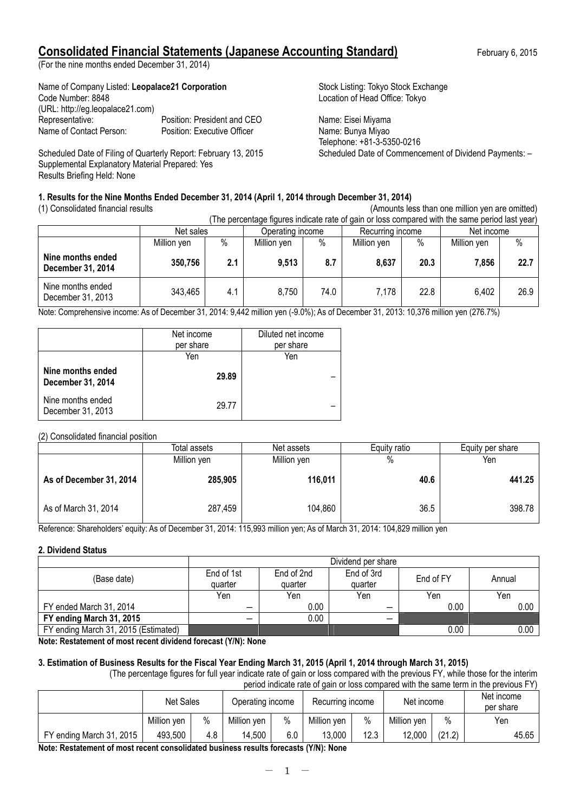# **Consolidated Financial Statements (Japanese Accounting Standard)** February 6, 2015

(For the nine months ended December 31, 2014)

| Name of Company Listed: Leopalace21 Corporation |
|-------------------------------------------------|
|                                                 |
|                                                 |
| Position: President and CEO                     |
| Position: Executive Officer                     |
|                                                 |

Scheduled Date of Filing of Quarterly Report: February 13, 2015 Scheduled Date of Commencement of Dividend Payments: -Supplemental Explanatory Material Prepared: Yes Results Briefing Held: None

Stock Listing: Tokyo Stock Exchange Location of Head Office: Tokyo

Name: Eisei Miyama Name: Bunya Miyao Telephone: +81-3-5350-0216

# **1. Results for the Nine Months Ended December 31, 2014 (April 1, 2014 through December 31, 2014)**

(1) Consolidated financial results (Amounts less than one million yen are omitted) (The percentage figures indicate rate of gain or loss compared with the same period last year)

| The percentage high ce indicate rate or gain or loco compared munities came ponca lact foar |             |     |                  |      |                  |      |             |      |
|---------------------------------------------------------------------------------------------|-------------|-----|------------------|------|------------------|------|-------------|------|
|                                                                                             | Net sales   |     | Operating income |      | Recurring income |      | Net income  |      |
|                                                                                             | Million yen | %   | Million yen      | %    | Million yen      | $\%$ | Million yen | %    |
| Nine months ended<br>December 31, 2014                                                      | 350,756     | 2.1 | 9,513            | 8.7  | 8,637            | 20.3 | 7,856       | 22.7 |
| Nine months ended<br>December 31, 2013                                                      | 343,465     | 4.1 | 8,750            | 74.0 | 7.178            | 22.8 | 6,402       | 26.9 |

Note: Comprehensive income: As of December 31, 2014: 9,442 million yen (-9.0%); As of December 31, 2013: 10,376 million yen (276.7%)

|                                        | Net income<br>per share | Diluted net income<br>per share |
|----------------------------------------|-------------------------|---------------------------------|
|                                        | Yen                     | Yen                             |
| Nine months ended<br>December 31, 2014 | 29.89                   |                                 |
| Nine months ended<br>December 31, 2013 | 29.77                   |                                 |

# (2) Consolidated financial position

|                         | Total assets<br>Net assets |             | Equity ratio | Equity per share |
|-------------------------|----------------------------|-------------|--------------|------------------|
|                         | Million yen                | Million yen | %            | Yen              |
| As of December 31, 2014 | 285,905                    | 116,011     | 40.6         | 441.25           |
| As of March 31, 2014    | 287,459                    | 104,860     | 36.5         | 398.78           |

Reference: Shareholders' equity: As of December 31, 2014: 115,993 million yen; As of March 31, 2014: 104,829 million yen

### **2. Dividend Status**

|                                      | Dividend per share    |                       |                       |           |        |  |
|--------------------------------------|-----------------------|-----------------------|-----------------------|-----------|--------|--|
| (Base date)                          | End of 1st<br>quarter | End of 2nd<br>quarter | End of 3rd<br>quarter | End of FY | Annual |  |
|                                      | Yen                   | Yen                   | Yen                   | Yen       | Yen    |  |
| FY ended March 31, 2014              | -                     | 0.00                  | –                     | 0.00      | 0.00   |  |
| FY ending March 31, 2015             |                       | 0.00                  | –                     |           |        |  |
| FY ending March 31, 2015 (Estimated) |                       |                       |                       | 0.00      | 0.00   |  |

**Note: Restatement of most recent dividend forecast (Y/N): None**

# **3. Estimation of Business Results for the Fiscal Year Ending March 31, 2015 (April 1, 2014 through March 31, 2015)**

(The percentage figures for full year indicate rate of gain or loss compared with the previous FY, while those for the interim period indicate rate of gain or loss compared with the same term in the previous FY)

|                          | <b>Net Sales</b> |     | Operating income |      | Recurring income |      | Net income  |        | Net income<br>per share |
|--------------------------|------------------|-----|------------------|------|------------------|------|-------------|--------|-------------------------|
|                          | Million yen      | %   | Million yen      | $\%$ | Million yen      | %    | Million yen | $\%$   | Yen                     |
| FY ending March 31, 2015 | 493,500          | 4.8 | 14,500           | 6.0  | 13.000           | 12.3 | 12,000      | (21.2) | 45.65                   |

**Note: Restatement of most recent consolidated business results forecasts (Y/N): None**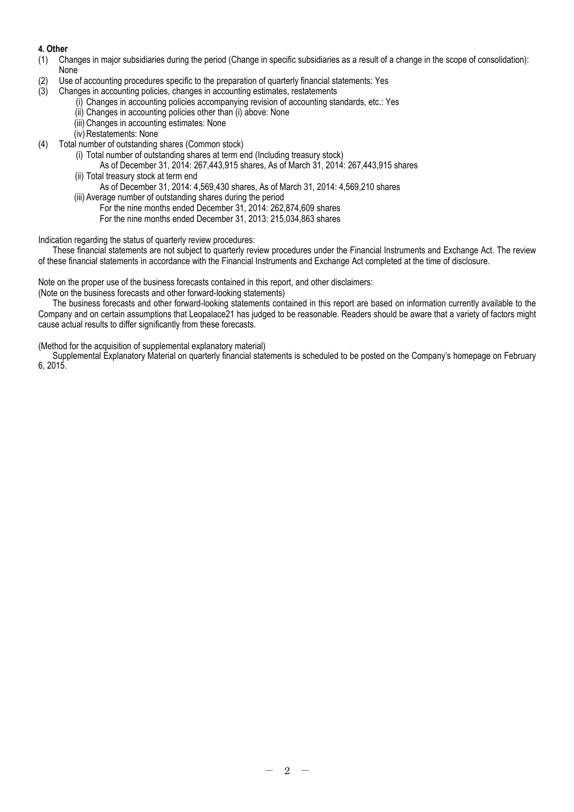# **4. Other**

- (1) Changes in major subsidiaries during the period (Change in specific subsidiaries as a result of a change in the scope of consolidation): None
- (2) Use of accounting procedures specific to the preparation of quarterly financial statements: Yes
- (3) Changes in accounting policies, changes in accounting estimates, restatements
	- (i) Changes in accounting policies accompanying revision of accounting standards, etc.: Yes
	- (ii) Changes in accounting policies other than (i) above: None
	- (iii) Changes in accounting estimates: None
	- (iv) Restatements: None
- (4) Total number of outstanding shares (Common stock)
	- (i) Total number of outstanding shares at term end (Including treasury stock)
	- As of December 31, 2014: 267,443,915 shares, As of March 31, 2014: 267,443,915 shares (ii) Total treasury stock at term end
		- As of December 31, 2014: 4,569,430 shares, As of March 31, 2014: 4,569,210 shares
	- (iii) Average number of outstanding shares during the period
		- For the nine months ended December 31, 2014: 262,874,609 shares
			- For the nine months ended December 31, 2013: 215,034,863 shares

Indication regarding the status of quarterly review procedures:

These financial statements are not subject to quarterly review procedures under the Financial Instruments and Exchange Act. The review of these financial statements in accordance with the Financial Instruments and Exchange Act completed at the time of disclosure.

Note on the proper use of the business forecasts contained in this report, and other disclaimers:

(Note on the business forecasts and other forward-looking statements)

The business forecasts and other forward-looking statements contained in this report are based on information currently available to the Company and on certain assumptions that Leopalace21 has judged to be reasonable. Readers should be aware that a variety of factors might cause actual results to differ significantly from these forecasts.

(Method for the acquisition of supplemental explanatory material)

Supplemental Explanatory Material on quarterly financial statements is scheduled to be posted on the Company's homepage on February 6, 2015.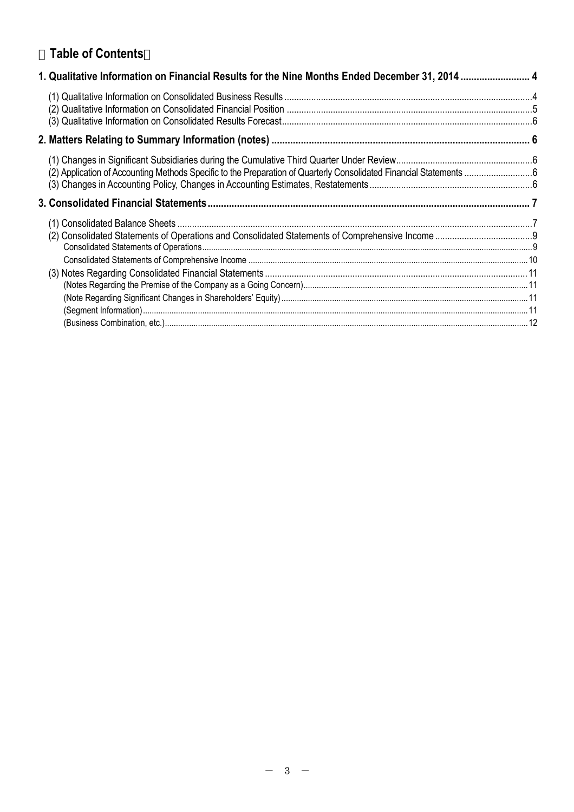# **Table of Contents**

| 1. Qualitative Information on Financial Results for the Nine Months Ended December 31, 2014  4 |  |
|------------------------------------------------------------------------------------------------|--|
|                                                                                                |  |
|                                                                                                |  |
|                                                                                                |  |
|                                                                                                |  |
|                                                                                                |  |
|                                                                                                |  |
|                                                                                                |  |
|                                                                                                |  |
|                                                                                                |  |
|                                                                                                |  |
|                                                                                                |  |
|                                                                                                |  |
|                                                                                                |  |
|                                                                                                |  |
|                                                                                                |  |
|                                                                                                |  |
|                                                                                                |  |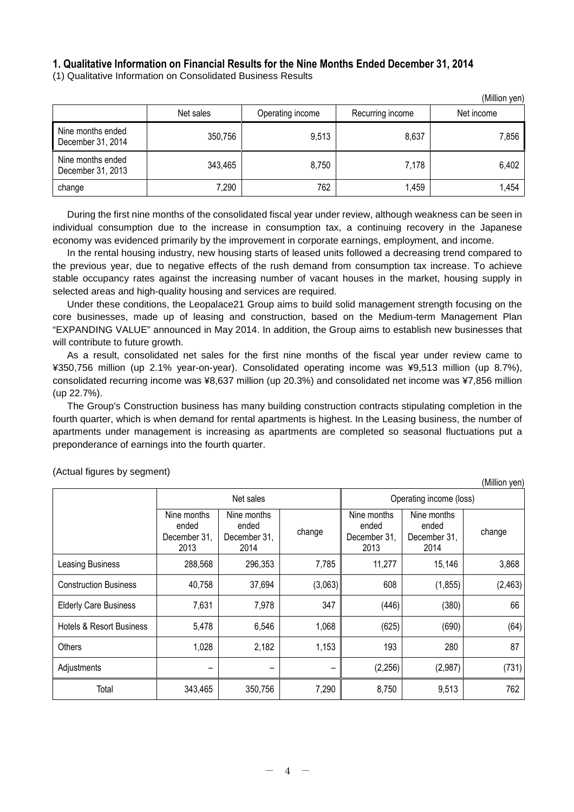# **1. Qualitative Information on Financial Results for the Nine Months Ended December 31, 2014**

(1) Qualitative Information on Consolidated Business Results

|                                        |           |                  |                  | (Million yen) |
|----------------------------------------|-----------|------------------|------------------|---------------|
|                                        | Net sales | Operating income | Recurring income | Net income    |
| Nine months ended<br>December 31, 2014 | 350,756   | 9,513            | 8,637            | 7,856         |
| Nine months ended<br>December 31, 2013 | 343,465   | 8,750            | 7,178            | 6,402         |
| change                                 | 7,290     | 762              | 1,459            | 1,454         |

During the first nine months of the consolidated fiscal year under review, although weakness can be seen in individual consumption due to the increase in consumption tax, a continuing recovery in the Japanese economy was evidenced primarily by the improvement in corporate earnings, employment, and income.

In the rental housing industry, new housing starts of leased units followed a decreasing trend compared to the previous year, due to negative effects of the rush demand from consumption tax increase. To achieve stable occupancy rates against the increasing number of vacant houses in the market, housing supply in selected areas and high-quality housing and services are required.

Under these conditions, the Leopalace21 Group aims to build solid management strength focusing on the core businesses, made up of leasing and construction, based on the Medium-term Management Plan "EXPANDING VALUE" announced in May 2014. In addition, the Group aims to establish new businesses that will contribute to future growth.

As a result, consolidated net sales for the first nine months of the fiscal year under review came to ¥350,756 million (up 2.1% year-on-year). Consolidated operating income was ¥9,513 million (up 8.7%), consolidated recurring income was ¥8,637 million (up 20.3%) and consolidated net income was ¥7,856 million (up 22.7%).

The Group's Construction business has many building construction contracts stipulating completion in the fourth quarter, which is when demand for rental apartments is highest. In the Leasing business, the number of apartments under management is increasing as apartments are completed so seasonal fluctuations put a preponderance of earnings into the fourth quarter.

(Million yen)

|                                     |                                              | Net sales                                    |         |                                              | Operating income (loss)                      |          |
|-------------------------------------|----------------------------------------------|----------------------------------------------|---------|----------------------------------------------|----------------------------------------------|----------|
|                                     | Nine months<br>ended<br>December 31,<br>2013 | Nine months<br>ended<br>December 31,<br>2014 | change  | Nine months<br>ended<br>December 31,<br>2013 | Nine months<br>ended<br>December 31,<br>2014 | change   |
| Leasing Business                    | 288,568                                      | 296,353                                      | 7,785   | 11,277                                       | 15,146                                       | 3,868    |
| <b>Construction Business</b>        | 40,758                                       | 37,694                                       | (3,063) | 608                                          | (1, 855)                                     | (2, 463) |
| <b>Elderly Care Business</b>        | 7,631                                        | 7,978                                        | 347     | (446)                                        | (380)                                        | 66       |
| <b>Hotels &amp; Resort Business</b> | 5,478                                        | 6,546                                        | 1,068   | (625)                                        | (690)                                        | (64)     |
| Others                              | 1,028                                        | 2,182                                        | 1,153   | 193                                          | 280                                          | 87       |
| Adjustments                         |                                              |                                              | -       | (2, 256)                                     | (2,987)                                      | (731)    |
| Total                               | 343,465                                      | 350,756                                      | 7,290   | 8,750                                        | 9,513                                        | 762      |

(Actual figures by segment)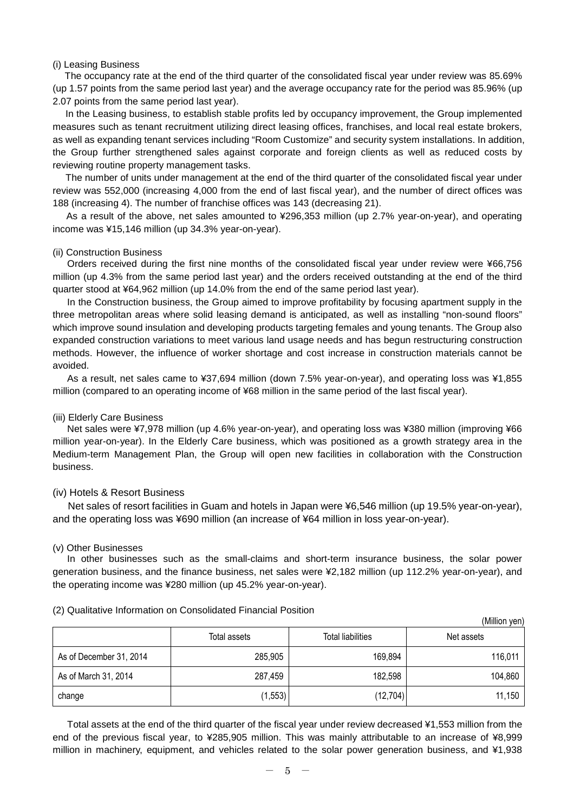### (i) Leasing Business

The occupancy rate at the end of the third quarter of the consolidated fiscal year under review was 85.69% (up 1.57 points from the same period last year) and the average occupancy rate for the period was 85.96% (up 2.07 points from the same period last year).

In the Leasing business, to establish stable profits led by occupancy improvement, the Group implemented measures such as tenant recruitment utilizing direct leasing offices, franchises, and local real estate brokers, as well as expanding tenant services including "Room Customize" and security system installations. In addition, the Group further strengthened sales against corporate and foreign clients as well as reduced costs by reviewing routine property management tasks.

The number of units under management at the end of the third quarter of the consolidated fiscal year under review was 552,000 (increasing 4,000 from the end of last fiscal year), and the number of direct offices was 188 (increasing 4). The number of franchise offices was 143 (decreasing 21).

As a result of the above, net sales amounted to ¥296,353 million (up 2.7% year-on-year), and operating income was ¥15,146 million (up 34.3% year-on-year).

### (ii) Construction Business

Orders received during the first nine months of the consolidated fiscal year under review were ¥66,756 million (up 4.3% from the same period last year) and the orders received outstanding at the end of the third quarter stood at ¥64,962 million (up 14.0% from the end of the same period last year).

In the Construction business, the Group aimed to improve profitability by focusing apartment supply in the three metropolitan areas where solid leasing demand is anticipated, as well as installing "non-sound floors" which improve sound insulation and developing products targeting females and young tenants. The Group also expanded construction variations to meet various land usage needs and has begun restructuring construction methods. However, the influence of worker shortage and cost increase in construction materials cannot be avoided.

As a result, net sales came to ¥37,694 million (down 7.5% year-on-year), and operating loss was ¥1,855 million (compared to an operating income of ¥68 million in the same period of the last fiscal year).

#### (iii) Elderly Care Business

Net sales were ¥7,978 million (up 4.6% year-on-year), and operating loss was ¥380 million (improving ¥66 million year-on-year). In the Elderly Care business, which was positioned as a growth strategy area in the Medium-term Management Plan, the Group will open new facilities in collaboration with the Construction business.

### (iv) Hotels & Resort Business

Net sales of resort facilities in Guam and hotels in Japan were ¥6,546 million (up 19.5% year-on-year), and the operating loss was ¥690 million (an increase of ¥64 million in loss year-on-year).

#### (v) Other Businesses

In other businesses such as the small-claims and short-term insurance business, the solar power generation business, and the finance business, net sales were ¥2,182 million (up 112.2% year-on-year), and the operating income was ¥280 million (up 45.2% year-on-year).

|                         |              |                          | (Million yen) |
|-------------------------|--------------|--------------------------|---------------|
|                         | Total assets | <b>Total liabilities</b> | Net assets    |
| As of December 31, 2014 | 285,905      | 169,894                  | 116,011       |
| As of March 31, 2014    | 287,459      | 182,598                  | 104,860       |
| change                  | (1, 553)     | (12, 704)                | 11,150        |

(2) Qualitative Information on Consolidated Financial Position

Total assets at the end of the third quarter of the fiscal year under review decreased ¥1,553 million from the end of the previous fiscal year, to ¥285,905 million. This was mainly attributable to an increase of ¥8,999 million in machinery, equipment, and vehicles related to the solar power generation business, and ¥1,938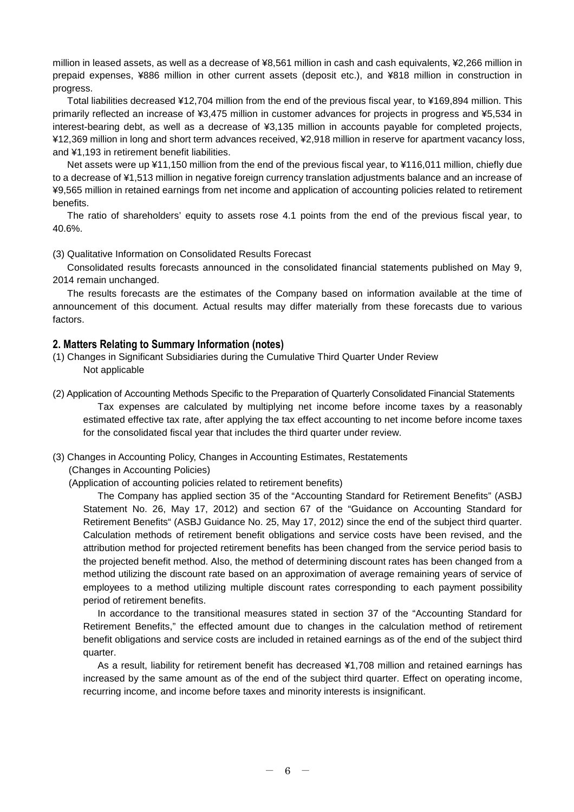million in leased assets, as well as a decrease of ¥8,561 million in cash and cash equivalents, ¥2,266 million in prepaid expenses, ¥886 million in other current assets (deposit etc.), and ¥818 million in construction in progress.

Total liabilities decreased ¥12,704 million from the end of the previous fiscal year, to ¥169,894 million. This primarily reflected an increase of ¥3,475 million in customer advances for projects in progress and ¥5,534 in interest-bearing debt, as well as a decrease of ¥3,135 million in accounts payable for completed projects, ¥12,369 million in long and short term advances received, ¥2,918 million in reserve for apartment vacancy loss, and ¥1,193 in retirement benefit liabilities.

Net assets were up ¥11,150 million from the end of the previous fiscal year, to ¥116,011 million, chiefly due to a decrease of ¥1,513 million in negative foreign currency translation adjustments balance and an increase of ¥9,565 million in retained earnings from net income and application of accounting policies related to retirement benefits.

The ratio of shareholders' equity to assets rose 4.1 points from the end of the previous fiscal year, to 40.6%.

(3) Qualitative Information on Consolidated Results Forecast

Consolidated results forecasts announced in the consolidated financial statements published on May 9, 2014 remain unchanged.

The results forecasts are the estimates of the Company based on information available at the time of announcement of this document. Actual results may differ materially from these forecasts due to various factors.

# **2. Matters Relating to Summary Information (notes)**

(1) Changes in Significant Subsidiaries during the Cumulative Third Quarter Under Review Not applicable

(2) Application of Accounting Methods Specific to the Preparation of Quarterly Consolidated Financial Statements Tax expenses are calculated by multiplying net income before income taxes by a reasonably estimated effective tax rate, after applying the tax effect accounting to net income before income taxes for the consolidated fiscal year that includes the third quarter under review.

(3) Changes in Accounting Policy, Changes in Accounting Estimates, Restatements

(Changes in Accounting Policies)

(Application of accounting policies related to retirement benefits)

The Company has applied section 35 of the "Accounting Standard for Retirement Benefits" (ASBJ Statement No. 26, May 17, 2012) and section 67 of the "Guidance on Accounting Standard for Retirement Benefits" (ASBJ Guidance No. 25, May 17, 2012) since the end of the subject third quarter. Calculation methods of retirement benefit obligations and service costs have been revised, and the attribution method for projected retirement benefits has been changed from the service period basis to the projected benefit method. Also, the method of determining discount rates has been changed from a method utilizing the discount rate based on an approximation of average remaining years of service of employees to a method utilizing multiple discount rates corresponding to each payment possibility period of retirement benefits.

In accordance to the transitional measures stated in section 37 of the "Accounting Standard for Retirement Benefits," the effected amount due to changes in the calculation method of retirement benefit obligations and service costs are included in retained earnings as of the end of the subject third quarter.

As a result, liability for retirement benefit has decreased ¥1,708 million and retained earnings has increased by the same amount as of the end of the subject third quarter. Effect on operating income, recurring income, and income before taxes and minority interests is insignificant.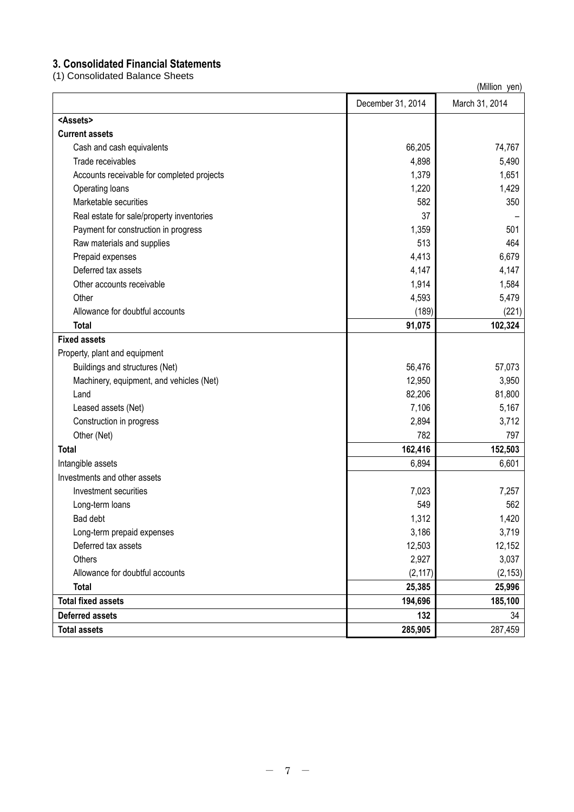# **3. Consolidated Financial Statements**

(1) Consolidated Balance Sheets

|                                            |                   | (Million yen)  |
|--------------------------------------------|-------------------|----------------|
|                                            | December 31, 2014 | March 31, 2014 |
| <assets></assets>                          |                   |                |
| <b>Current assets</b>                      |                   |                |
| Cash and cash equivalents                  | 66,205            | 74,767         |
| Trade receivables                          | 4,898             | 5,490          |
| Accounts receivable for completed projects | 1,379             | 1,651          |
| Operating loans                            | 1,220             | 1,429          |
| Marketable securities                      | 582               | 350            |
| Real estate for sale/property inventories  | 37                |                |
| Payment for construction in progress       | 1,359             | 501            |
| Raw materials and supplies                 | 513               | 464            |
| Prepaid expenses                           | 4,413             | 6,679          |
| Deferred tax assets                        | 4,147             | 4,147          |
| Other accounts receivable                  | 1,914             | 1,584          |
| Other                                      | 4,593             | 5,479          |
| Allowance for doubtful accounts            | (189)             | (221)          |
| <b>Total</b>                               | 91,075            | 102,324        |
| <b>Fixed assets</b>                        |                   |                |
| Property, plant and equipment              |                   |                |
| Buildings and structures (Net)             | 56,476            | 57,073         |
| Machinery, equipment, and vehicles (Net)   | 12,950            | 3,950          |
| Land                                       | 82,206            | 81,800         |
| Leased assets (Net)                        | 7,106             | 5,167          |
| Construction in progress                   | 2,894             | 3,712          |
| Other (Net)                                | 782               | 797            |
| Total                                      | 162,416           | 152,503        |
| Intangible assets                          | 6,894             | 6,601          |
| Investments and other assets               |                   |                |
| Investment securities                      | 7,023             | 7,257          |
| Long-term loans                            | 549               | 562            |
| Bad debt                                   | 1,312             | 1,420          |
| Long-term prepaid expenses                 | 3,186             | 3,719          |
| Deferred tax assets                        | 12,503            | 12,152         |
| Others                                     | 2,927             | 3,037          |
| Allowance for doubtful accounts            | (2, 117)          | (2, 153)       |
| <b>Total</b>                               | 25,385            | 25,996         |
| <b>Total fixed assets</b>                  | 194,696           | 185,100        |
| <b>Deferred assets</b>                     | 132               | 34             |
| <b>Total assets</b>                        | 285,905           | 287,459        |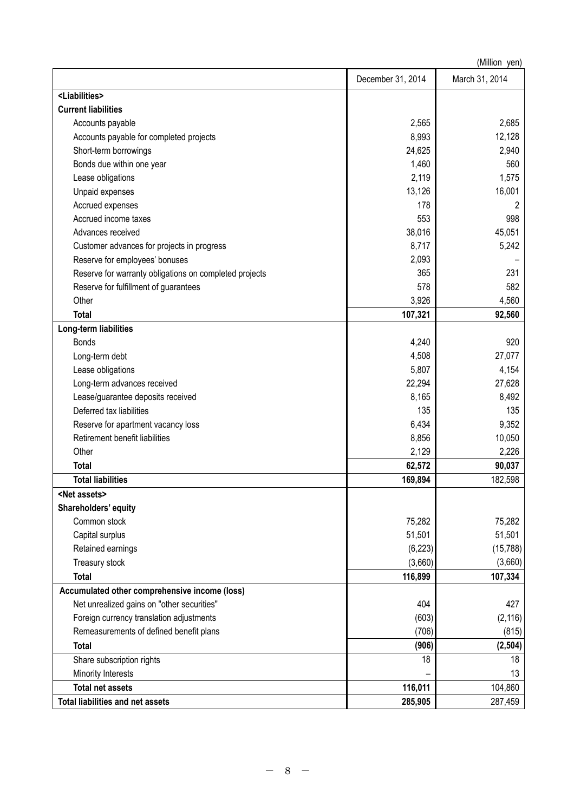|                                                        |                   | (Million yen)  |
|--------------------------------------------------------|-------------------|----------------|
|                                                        | December 31, 2014 | March 31, 2014 |
| <liabilities></liabilities>                            |                   |                |
| <b>Current liabilities</b>                             |                   |                |
| Accounts payable                                       | 2,565             | 2,685          |
| Accounts payable for completed projects                | 8,993             | 12,128         |
| Short-term borrowings                                  | 24,625            | 2,940          |
| Bonds due within one year                              | 1,460             | 560            |
| Lease obligations                                      | 2,119             | 1,575          |
| Unpaid expenses                                        | 13,126            | 16,001         |
| Accrued expenses                                       | 178               | 2              |
| Accrued income taxes                                   | 553               | 998            |
| Advances received                                      | 38,016            | 45,051         |
| Customer advances for projects in progress             | 8,717             | 5,242          |
| Reserve for employees' bonuses                         | 2,093             |                |
| Reserve for warranty obligations on completed projects | 365               | 231            |
| Reserve for fulfillment of guarantees                  | 578               | 582            |
| Other                                                  | 3,926             | 4,560          |
| <b>Total</b>                                           | 107,321           | 92,560         |
| Long-term liabilities                                  |                   |                |
| <b>Bonds</b>                                           | 4,240             | 920            |
| Long-term debt                                         | 4,508             | 27,077         |
| Lease obligations                                      | 5,807             | 4,154          |
| Long-term advances received                            | 22,294            | 27,628         |
| Lease/guarantee deposits received                      | 8,165             | 8,492          |
| Deferred tax liabilities                               | 135               | 135            |
| Reserve for apartment vacancy loss                     | 6,434             | 9,352          |
| Retirement benefit liabilities                         | 8,856             | 10,050         |
| Other                                                  | 2,129             | 2,226          |
| <b>Total</b>                                           | 62,572            | 90,037         |
| <b>Total liabilities</b>                               | 169,894           | 182,598        |
| <net assets=""></net>                                  |                   |                |
| Shareholders' equity                                   |                   |                |
| Common stock                                           | 75,282            | 75,282         |
| Capital surplus                                        | 51,501            | 51,501         |
| Retained earnings                                      | (6, 223)          | (15, 788)      |
| Treasury stock                                         | (3,660)           | (3,660)        |
| <b>Total</b>                                           | 116,899           | 107,334        |
| Accumulated other comprehensive income (loss)          |                   |                |
| Net unrealized gains on "other securities"             | 404               | 427            |
| Foreign currency translation adjustments               | (603)             | (2, 116)       |
| Remeasurements of defined benefit plans                | (706)             | (815)          |
| Total                                                  | (906)             | (2, 504)       |
| Share subscription rights                              | 18                | 18             |
| Minority Interests                                     |                   | 13             |
| <b>Total net assets</b>                                | 116,011           | 104,860        |
| <b>Total liabilities and net assets</b>                | 285,905           | 287,459        |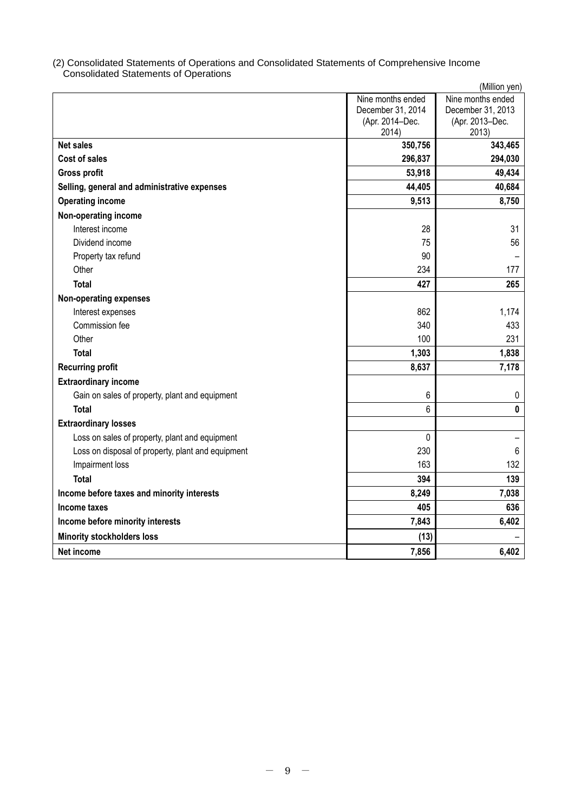### (2) Consolidated Statements of Operations and Consolidated Statements of Comprehensive Income Consolidated Statements of Operations

|                                                   |                                                                    | (Million yen)                                                      |
|---------------------------------------------------|--------------------------------------------------------------------|--------------------------------------------------------------------|
|                                                   | Nine months ended<br>December 31, 2014<br>(Apr. 2014-Dec.<br>2014) | Nine months ended<br>December 31, 2013<br>(Apr. 2013-Dec.<br>2013) |
| <b>Net sales</b>                                  | 350,756                                                            | 343,465                                                            |
| <b>Cost of sales</b>                              | 296,837                                                            | 294,030                                                            |
| <b>Gross profit</b>                               | 53,918                                                             | 49,434                                                             |
| Selling, general and administrative expenses      | 44,405                                                             | 40,684                                                             |
| <b>Operating income</b>                           | 9,513                                                              | 8,750                                                              |
| Non-operating income                              |                                                                    |                                                                    |
| Interest income                                   | 28                                                                 | 31                                                                 |
| Dividend income                                   | 75                                                                 | 56                                                                 |
| Property tax refund                               | 90                                                                 |                                                                    |
| Other                                             | 234                                                                | 177                                                                |
| <b>Total</b>                                      | 427                                                                | 265                                                                |
| <b>Non-operating expenses</b>                     |                                                                    |                                                                    |
| Interest expenses                                 | 862                                                                | 1,174                                                              |
| Commission fee                                    | 340                                                                | 433                                                                |
| Other                                             | 100                                                                | 231                                                                |
| <b>Total</b>                                      | 1,303                                                              | 1,838                                                              |
| <b>Recurring profit</b>                           | 8,637                                                              | 7,178                                                              |
| <b>Extraordinary income</b>                       |                                                                    |                                                                    |
| Gain on sales of property, plant and equipment    | 6                                                                  | 0                                                                  |
| <b>Total</b>                                      | 6                                                                  | 0                                                                  |
| <b>Extraordinary losses</b>                       |                                                                    |                                                                    |
| Loss on sales of property, plant and equipment    | 0                                                                  |                                                                    |
| Loss on disposal of property, plant and equipment | 230                                                                | 6                                                                  |
| Impairment loss                                   | 163                                                                | 132                                                                |
| <b>Total</b>                                      | 394                                                                | 139                                                                |
| Income before taxes and minority interests        | 8,249                                                              | 7,038                                                              |
| Income taxes                                      | 405                                                                | 636                                                                |
| Income before minority interests                  | 7,843                                                              | 6,402                                                              |
| <b>Minority stockholders loss</b>                 | (13)                                                               |                                                                    |
| Net income                                        | 7,856                                                              | 6,402                                                              |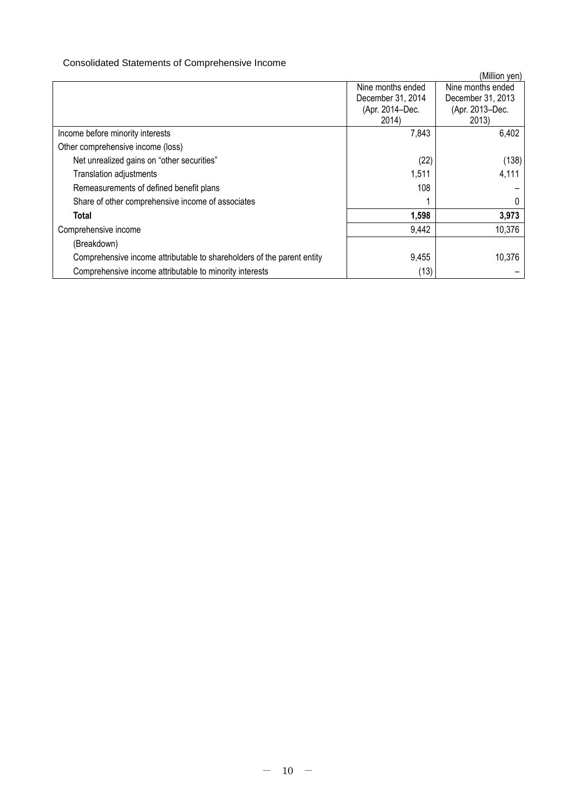# Consolidated Statements of Comprehensive Income

|                                                                        |                   | (Million yen)     |
|------------------------------------------------------------------------|-------------------|-------------------|
|                                                                        | Nine months ended | Nine months ended |
|                                                                        | December 31, 2014 | December 31, 2013 |
|                                                                        | (Apr. 2014-Dec.   | (Apr. 2013-Dec.   |
|                                                                        | 2014)             | 2013)             |
| Income before minority interests                                       | 7,843             | 6,402             |
| Other comprehensive income (loss)                                      |                   |                   |
| Net unrealized gains on "other securities"                             | (22)              | (138)             |
| <b>Translation adjustments</b>                                         | 1,511             | 4,111             |
| Remeasurements of defined benefit plans                                | 108               |                   |
| Share of other comprehensive income of associates                      |                   |                   |
| Total                                                                  | 1,598             | 3,973             |
| Comprehensive income                                                   | 9,442             | 10,376            |
| (Breakdown)                                                            |                   |                   |
| Comprehensive income attributable to shareholders of the parent entity | 9,455             | 10,376            |
| Comprehensive income attributable to minority interests                | (13)              |                   |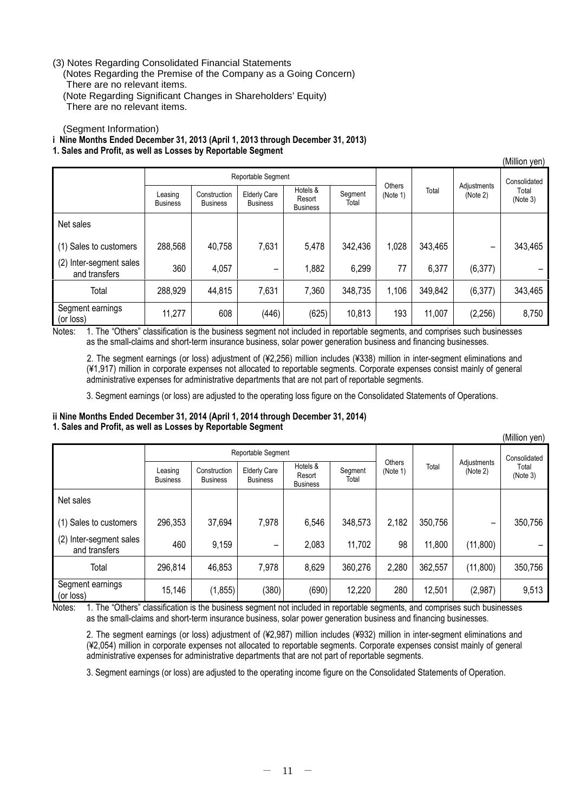### (3) Notes Regarding Consolidated Financial Statements

(Notes Regarding the Premise of the Company as a Going Concern) There are no relevant items. (Note Regarding Significant Changes in Shareholders' Equity) There are no relevant items.

(Segment Information)

# **i Nine Months Ended December 31, 2013 (April 1, 2013 through December 31, 2013)**

**1. Sales and Profit, as well as Losses by Reportable Segment**

|                                             |                            |                                 |                                        |                                       |                  |                    |         |                         | (Million yen)     |
|---------------------------------------------|----------------------------|---------------------------------|----------------------------------------|---------------------------------------|------------------|--------------------|---------|-------------------------|-------------------|
|                                             | Reportable Segment         |                                 |                                        |                                       |                  |                    |         | Consolidated            |                   |
|                                             | Leasing<br><b>Business</b> | Construction<br><b>Business</b> | <b>Elderly Care</b><br><b>Business</b> | Hotels &<br>Resort<br><b>Business</b> | Segment<br>Total | Others<br>(Note 1) | Total   | Adjustments<br>(Note 2) | Total<br>(Note 3) |
| Net sales                                   |                            |                                 |                                        |                                       |                  |                    |         |                         |                   |
| (1) Sales to customers                      | 288,568                    | 40,758                          | 7,631                                  | 5,478                                 | 342,436          | 1,028              | 343,465 | $\qquad \qquad$         | 343,465           |
| (2)<br>Inter-segment sales<br>and transfers | 360                        | 4,057                           |                                        | .882                                  | 6,299            | 77                 | 6,377   | (6, 377)                |                   |
| Total                                       | 288,929                    | 44,815                          | 7,631                                  | 7,360                                 | 348,735          | 1,106              | 349,842 | (6, 377)                | 343,465           |
| Segment earnings<br>(or loss)               | 11,277                     | 608                             | (446)                                  | (625)                                 | 10,813           | 193                | 11,007  | (2, 256)                | 8,750             |

Notes: 1. The "Others" classification is the business segment not included in reportable segments, and comprises such businesses as the small-claims and short-term insurance business, solar power generation business and financing businesses.

2. The segment earnings (or loss) adjustment of (¥2,256) million includes (¥338) million in inter-segment eliminations and (¥1,917) million in corporate expenses not allocated to reportable segments. Corporate expenses consist mainly of general administrative expenses for administrative departments that are not part of reportable segments.

3. Segment earnings (or loss) are adjusted to the operating loss figure on the Consolidated Statements of Operations.

# **ii Nine Months Ended December 31, 2014 (April 1, 2014 through December 31, 2014) 1. Sales and Profit, as well as Losses by Reportable Segment**

|                                          |                            |                                 |                                        |                                       |                  |                    |         |                          | (Million yen)     |
|------------------------------------------|----------------------------|---------------------------------|----------------------------------------|---------------------------------------|------------------|--------------------|---------|--------------------------|-------------------|
|                                          | Reportable Segment         |                                 |                                        |                                       |                  |                    |         | Consolidated             |                   |
|                                          | Leasing<br><b>Business</b> | Construction<br><b>Business</b> | <b>Elderly Care</b><br><b>Business</b> | Hotels &<br>Resort<br><b>Business</b> | Segment<br>Total | Others<br>(Note 1) | Total   | Adjustments<br>(Note 2)  | Total<br>(Note 3) |
| Net sales                                |                            |                                 |                                        |                                       |                  |                    |         |                          |                   |
| (1) Sales to customers                   | 296,353                    | 37,694                          | 7,978                                  | 6,546                                 | 348,573          | 2,182              | 350,756 | $\overline{\phantom{m}}$ | 350,756           |
| (2) Inter-segment sales<br>and transfers | 460                        | 9,159                           |                                        | 2,083                                 | 11,702           | 98                 | 11,800  | (11, 800)                |                   |
| Total                                    | 296,814                    | 46,853                          | 7,978                                  | 8,629                                 | 360,276          | 2,280              | 362,557 | (11, 800)                | 350,756           |
| Segment earnings<br>(or loss)            | 15,146                     | (1, 855)                        | (380)                                  | (690)                                 | 12,220           | 280                | 12,501  | (2,987)                  | 9,513             |

Notes: 1. The "Others" classification is the business segment not included in reportable segments, and comprises such businesses as the small-claims and short-term insurance business, solar power generation business and financing businesses.

2. The segment earnings (or loss) adjustment of (¥2,987) million includes (¥932) million in inter-segment eliminations and (¥2,054) million in corporate expenses not allocated to reportable segments. Corporate expenses consist mainly of general administrative expenses for administrative departments that are not part of reportable segments.

3. Segment earnings (or loss) are adjusted to the operating income figure on the Consolidated Statements of Operation.